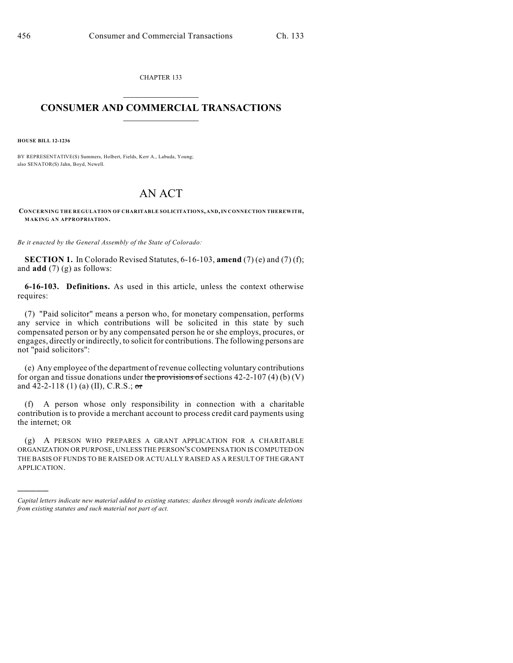CHAPTER 133  $\mathcal{L}_\text{max}$  . The set of the set of the set of the set of the set of the set of the set of the set of the set of the set of the set of the set of the set of the set of the set of the set of the set of the set of the set

## **CONSUMER AND COMMERCIAL TRANSACTIONS**  $\frac{1}{2}$  ,  $\frac{1}{2}$  ,  $\frac{1}{2}$  ,  $\frac{1}{2}$  ,  $\frac{1}{2}$  ,  $\frac{1}{2}$

**HOUSE BILL 12-1236**

)))))

BY REPRESENTATIVE(S) Summers, Holbert, Fields, Kerr A., Labuda, Young; also SENATOR(S) Jahn, Boyd, Newell.

## AN ACT

**CONCERNING THE REGULATION OF CHARITABLE SOLICITATIONS, AND,IN CONNECTION THEREWITH, MAKING AN APPROPRIATION.**

*Be it enacted by the General Assembly of the State of Colorado:*

**SECTION 1.** In Colorado Revised Statutes, 6-16-103, **amend** (7) (e) and (7) (f); and **add** (7) (g) as follows:

**6-16-103. Definitions.** As used in this article, unless the context otherwise requires:

(7) "Paid solicitor" means a person who, for monetary compensation, performs any service in which contributions will be solicited in this state by such compensated person or by any compensated person he or she employs, procures, or engages, directly or indirectly, to solicit for contributions. The following persons are not "paid solicitors":

(e) Any employee of the department of revenue collecting voluntary contributions for organ and tissue donations under the provisions of sections  $42-2-107(4)(b)(V)$ and 42-2-118 (1) (a) (II), C.R.S.; or

(f) A person whose only responsibility in connection with a charitable contribution is to provide a merchant account to process credit card payments using the internet; OR

(g) A PERSON WHO PREPARES A GRANT APPLICATION FOR A CHARITABLE ORGANIZATION OR PURPOSE, UNLESS THE PERSON'S COMPENSATION IS COMPUTED ON THE BASIS OF FUNDS TO BE RAISED OR ACTUALLY RAISED AS A RESULT OF THE GRANT APPLICATION.

*Capital letters indicate new material added to existing statutes; dashes through words indicate deletions from existing statutes and such material not part of act.*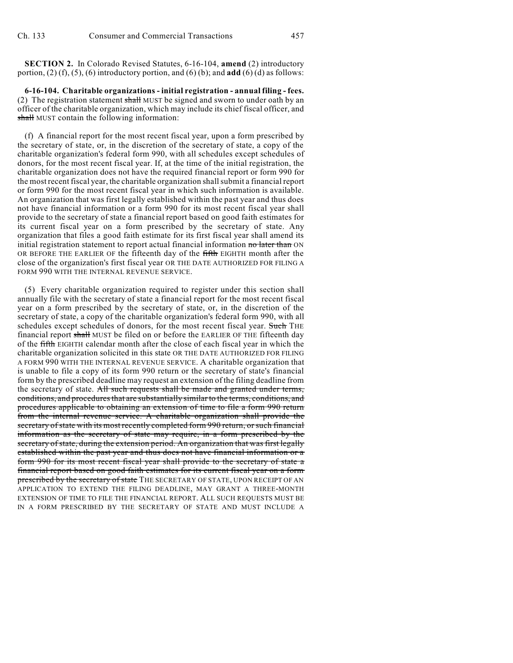**SECTION 2.** In Colorado Revised Statutes, 6-16-104, **amend** (2) introductory portion, (2) (f), (5), (6) introductory portion, and (6) (b); and **add** (6) (d) as follows:

**6-16-104. Charitable organizations - initial registration - annual filing - fees.** (2) The registration statement shall MUST be signed and sworn to under oath by an officer of the charitable organization, which may include its chief fiscal officer, and shall MUST contain the following information:

(f) A financial report for the most recent fiscal year, upon a form prescribed by the secretary of state, or, in the discretion of the secretary of state, a copy of the charitable organization's federal form 990, with all schedules except schedules of donors, for the most recent fiscal year. If, at the time of the initial registration, the charitable organization does not have the required financial report or form 990 for the most recentfiscal year, the charitable organization shallsubmit a financial report or form 990 for the most recent fiscal year in which such information is available. An organization that was first legally established within the past year and thus does not have financial information or a form 990 for its most recent fiscal year shall provide to the secretary of state a financial report based on good faith estimates for its current fiscal year on a form prescribed by the secretary of state. Any organization that files a good faith estimate for its first fiscal year shall amend its initial registration statement to report actual financial information no later than ON OR BEFORE THE EARLIER OF the fifteenth day of the fifth EIGHTH month after the close of the organization's first fiscal year OR THE DATE AUTHORIZED FOR FILING A FORM 990 WITH THE INTERNAL REVENUE SERVICE.

(5) Every charitable organization required to register under this section shall annually file with the secretary of state a financial report for the most recent fiscal year on a form prescribed by the secretary of state, or, in the discretion of the secretary of state, a copy of the charitable organization's federal form 990, with all schedules except schedules of donors, for the most recent fiscal year. Such THE financial report shall MUST be filed on or before the EARLIER OF THE fifteenth day of the fifth EIGHTH calendar month after the close of each fiscal year in which the charitable organization solicited in this state OR THE DATE AUTHORIZED FOR FILING A FORM 990 WITH THE INTERNAL REVENUE SERVICE. A charitable organization that is unable to file a copy of its form 990 return or the secretary of state's financial form by the prescribed deadline may request an extension of the filing deadline from the secretary of state. All such requests shall be made and granted under terms, conditions, and procedures that are substantially similar to the terms, conditions, and procedures applicable to obtaining an extension of time to file a form 990 return from the internal revenue service. A charitable organization shall provide the secretary of state with its most recently completed form 990 return, or such financial information as the secretary of state may require, in a form prescribed by the secretary of state, during the extension period. An organization that was first legally established within the past year and thus does not have financial information or a form 990 for its most recent fiscal year shall provide to the secretary of state a financial report based on good faith estimates for its current fiscal year on a form prescribed by the secretary of state THE SECRETARY OF STATE, UPON RECEIPT OF AN APPLICATION TO EXTEND THE FILING DEADLINE, MAY GRANT A THREE-MONTH EXTENSION OF TIME TO FILE THE FINANCIAL REPORT. ALL SUCH REQUESTS MUST BE IN A FORM PRESCRIBED BY THE SECRETARY OF STATE AND MUST INCLUDE A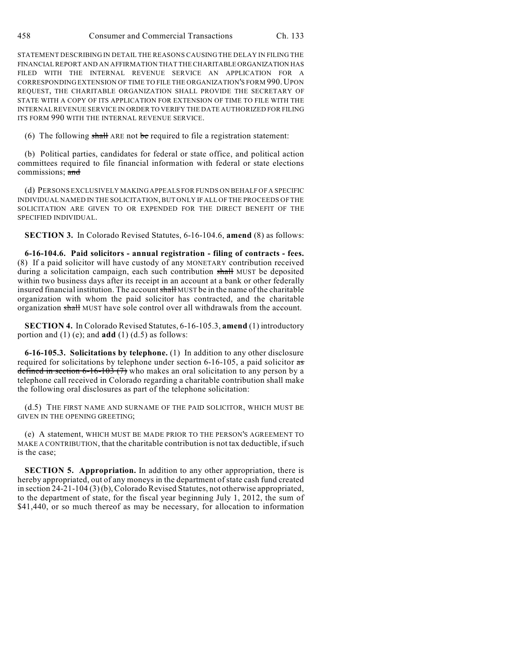STATEMENT DESCRIBING IN DETAIL THE REASONS CAUSING THE DELAY IN FILING THE FINANCIAL REPORT AND AN AFFIRMATION THAT THE CHARITABLE ORGANIZATION HAS FILED WITH THE INTERNAL REVENUE SERVICE AN APPLICATION FOR A CORRESPONDING EXTENSION OF TIME TO FILE THE ORGANIZATION'S FORM 990. UPON REQUEST, THE CHARITABLE ORGANIZATION SHALL PROVIDE THE SECRETARY OF STATE WITH A COPY OF ITS APPLICATION FOR EXTENSION OF TIME TO FILE WITH THE INTERNAL REVENUE SERVICE IN ORDER TO VERIFY THE DATE AUTHORIZED FOR FILING ITS FORM 990 WITH THE INTERNAL REVENUE SERVICE.

(6) The following shall ARE not be required to file a registration statement:

(b) Political parties, candidates for federal or state office, and political action committees required to file financial information with federal or state elections commissions; and

(d) PERSONS EXCLUSIVELY MAKING APPEALS FOR FUNDS ON BEHALF OF A SPECIFIC INDIVIDUAL NAMED IN THE SOLICITATION,BUT ONLY IF ALL OF THE PROCEEDS OF THE SOLICITATION ARE GIVEN TO OR EXPENDED FOR THE DIRECT BENEFIT OF THE SPECIFIED INDIVIDUAL.

**SECTION 3.** In Colorado Revised Statutes, 6-16-104.6, **amend** (8) as follows:

**6-16-104.6. Paid solicitors - annual registration - filing of contracts - fees.** (8) If a paid solicitor will have custody of any MONETARY contribution received during a solicitation campaign, each such contribution shall MUST be deposited within two business days after its receipt in an account at a bank or other federally insured financial institution. The account shall MUST be in the name of the charitable organization with whom the paid solicitor has contracted, and the charitable organization shall MUST have sole control over all withdrawals from the account.

**SECTION 4.** In Colorado Revised Statutes, 6-16-105.3, **amend** (1) introductory portion and (1) (e); and **add** (1) (d.5) as follows:

**6-16-105.3. Solicitations by telephone.** (1) In addition to any other disclosure required for solicitations by telephone under section 6-16-105, a paid solicitor as defined in section  $6-16-103(7)$  who makes an oral solicitation to any person by a telephone call received in Colorado regarding a charitable contribution shall make the following oral disclosures as part of the telephone solicitation:

(d.5) THE FIRST NAME AND SURNAME OF THE PAID SOLICITOR, WHICH MUST BE GIVEN IN THE OPENING GREETING;

(e) A statement, WHICH MUST BE MADE PRIOR TO THE PERSON'S AGREEMENT TO MAKE A CONTRIBUTION, that the charitable contribution is not tax deductible, ifsuch is the case;

**SECTION 5. Appropriation.** In addition to any other appropriation, there is hereby appropriated, out of any moneys in the department of state cash fund created in section 24-21-104 (3)(b), Colorado Revised Statutes, not otherwise appropriated, to the department of state, for the fiscal year beginning July 1, 2012, the sum of \$41,440, or so much thereof as may be necessary, for allocation to information